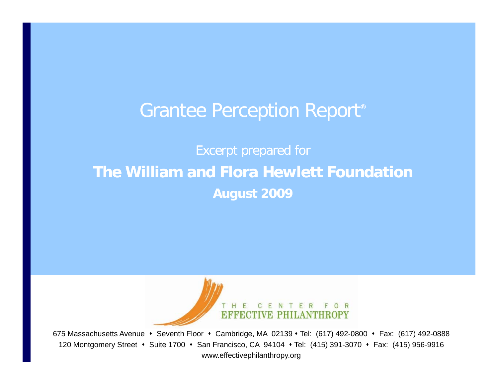# Grantee Perception Report<sup>®</sup>

# Excerpt prepared for **Th Willi d Fl H l tt F d ti The William and Flora Hewlett Foundation August 2009**



675 Massachusetts Avenue • Seventh Floor • Cambridge, MA 02139 • Tel: (617) 492-0800 • Fax: (617) 492-0888 120 Montgomery Street • Suite 1700 • San Francisco, CA 94104 • Tel: (415) 391-3070 • Fax: (415) 956-9916 www.effectivephilanthropy.org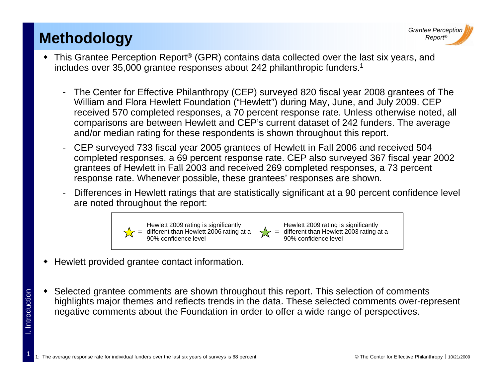### **Methodology** *Report**Report**Report**Report**Report* **<b>***Report**Report**Report**Report* **<b>***Report*

1

. Introduction



- ◆ This Grantee Perception Report<sup>®</sup> (GPR) contains data collected over the last six years, and includes over 35,000 grantee responses about 242 philanthropic funders.<sup>1</sup>
	- - The Center for Effective Philanthropy (CEP) surveyed 820 fiscal year 2008 grantees of The William and Flora Hewlett Foundation ("Hewlett") during May, June, and July 2009. CEP received 570 completed responses, a 70 percent response rate. Unless otherwise noted, all comparisons are between Hewlett and CEP's current dataset of 242 funders. The average and/or median rating for these respondents is shown throughout this report.
	- - CEP surveyed 733 fiscal year 2005 grantees of Hewlett in Fall 2006 and received 504 completed responses, a 69 percent response rate. CEP also surveyed 367 fiscal year 2002 grantees of Hewlett in Fall 2003 and received 269 completed responses, a 73 percent response rate. Whenever possible, these grantees' responses are shown.
	- - Differences in Hewlett ratings that are statistically significant at a 90 percent confidence level are noted throughout the report:



- Hewlett provided grantee contact information.
- ٠ Selected grantee comments are shown throughout this report. This selection of comments highlights major themes and reflects trends in the data. These selected comments over-represent deration of comments are shown throughout this report. This selection of comme<br>highlights major themes and reflects trends in the data. These selected comments over<br>negative comments about the Foundation in order to offer negative comments about the Foundation in order to offer a wide range of perspectives.

1: The average response rate for individual funders over the last six years of surveys is 68 percent. <br> **1:** 1: The average response rate for individual funders over the last six years of surveys is 68 percent.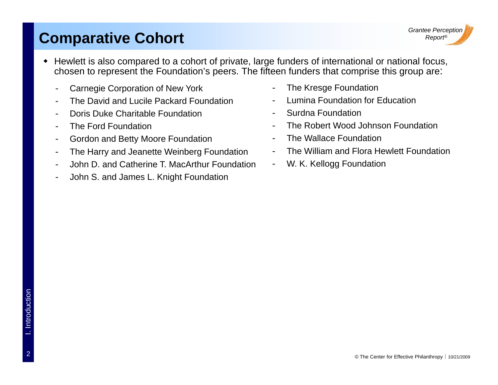#### **Comparative Cohort**

- Hewlett is also compared to a cohort of private, large funders of international or national focus, chosen to represent the Foundation's peers. The fifteen funders that comprise this group are:
	- -Carnegie Corporation of New York
	- The David and Lucile Packard Foundation
	- Doris Duke Charitable Foundation
	- The Ford Foundation
	- Gordon and Betty Moore Foundation
	- -The Harry and Jeanette Weinberg Foundation
	- John D. and Catherine T. MacArthur Foundation
	- -John S. and James L. Knight Foundation
- The Kresge Foundation
- Lumina Foundation for Education
- Surdna Foundation
- -The Robert Wood Johnson Foundation
- -The Wallace Foundation
- -The William and Flora Hewlett Foundation
- -W. K. Kellogg Foundation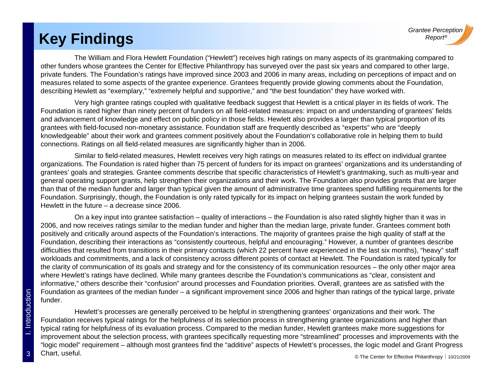# *Report®* **Key Findings**

The William and Flora Hewlett Foundation ("Hewlett") receives high ratings on many aspects of its grantmaking compared to other funders whose grantees the Center for Effective Philanthropy has surveyed over the past six years and compared to other large, private funders. The Foundation's ratings have improved since 2003 and 2006 in many areas, including on perceptions of impact and on measures related to some aspects of the grantee experience. Grantees frequently provide glowing comments about the Foundation, describing Hewlett as "exemplary," "extremely helpful and supportive," and "the best foundation" they have worked with.

Very high grantee ratings coupled with qualitative feedback suggest that Hewlett is a critical player in its fields of work. The Foundation is rated higher than ninety percent of funders on all field-related measures: impact on and understanding of grantees' fields and advancement of knowledge and effect on public policy in those fields. Hewlett also provides a larger than typical proportion of its grantees with field-focused non-monetary assistance. Foundation staff are frequently described as "experts" who are "deeply knowledgeable" about their work and grantees comment positively about the Foundation's collaborative role in helping them to build connections. Ratings on all field-related measures are significantly higher than in 2006.

Similar to field-related measures, Hewlett receives very high ratings on measures related to its effect on individual grantee organizations. The Foundation is rated higher than 75 percent of funders for its impact on grantees' organizations and its understanding of grantees' goals and strategies. Grantee comments describe that specific characteristics of Hewlett's grantmaking, such as multi-year and general operating support grants, help strengthen their organizations and their work. The Foundation also provides grants that are larger than that of the median funder and larger than typical given the amount of administrative time grantees spend fulfilling requirements for the Foundation. Surprisingly, though, the Foundation is only rated typically for its impact on helping grantees sustain the work funded by Hewlett in the future – a decrease since 2006.

On a key input into grantee satisfaction  $-$  quality of interactions  $-$  the Foundation is also rated slightly higher than it was in 2006, and now receives ratings similar to the median funder and higher than the median large, private funder. Grantees comment both positively and critically around aspects of the Foundation's interactions. The majority of grantees praise the high quality of staff at the Foundation, describing their interactions as "consistently courteous, helpful and encouraging." However, a number of grantees describe difficulties that resulted from transitions in their primary contacts (which 22 percent have experienced in the last six months), "heavy" staff workloads and commitments, and a lack of consistency across different points of contact at Hewlett. The Foundation is rated typically for the clarity of communication of its goals and strategy and for the consistency of its communication resources – the only other major area where Hewlett's ratings have declined. While many grantees describe the Foundation's communications as "clear, consistent and informative," others describe their "confusion" around processes and Foundation priorities. Overall, grantees are as satisfied with the Foundation as grantees of the median funder – a significant improvement since 2006 and higher than ratings of the typical large, private funder.6 Foundation as grantees of the median funder – a significant improvement since 2006 and higher than ratings of the typical large,<br>- funder.<br>Referring the Hewlett's processes are generally perceived to be helpful in stren

Foundation receives typical ratings for the helpfulness of its selection process in strengthening grantee organizations and higher than typical rating for helpfulness of its evaluation process. Compared to the median funder, Hewlett grantees make more suggestions for improvement about the selection process, with grantees specifically requesting more "streamlined" processes and improvements with the "logic model" requirement – although most grantees find the "additive" aspects of Hewlett's processes, the logic model and Grant Progress Chart, useful.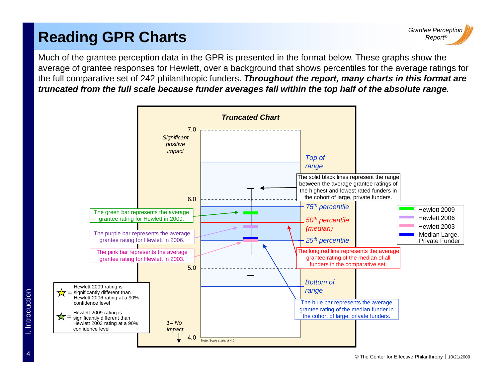# *Report* **Reading GPR Charts** *®*

Much of the grantee perception data in the GPR is presented in the format below. These graphs show the average of grantee responses for Hewlett, over a background that shows percentiles for the average ratings for the full comparative set of 242 philanthropic funders. *Throughout the report, many charts in this format are truncated from the full scale because funder averages fall within the top half of the absolute range.* 

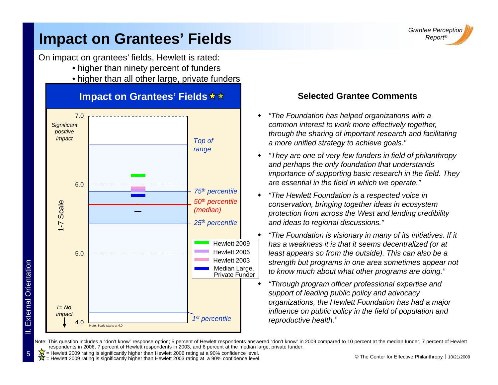

#### **Impact on Grantees' Fields Example 2018** Report®

On impact on grantees' fields, Hewlett is rated:

- higher than ninety percent of funders
- higher than all other large, private funders



#### **Impact on Grantees' Fields**  $\star\star$

#### **Selected Grantee Comments**

- ٠ *"The Foundation has helped organizations with a p g common interest to work more effectively together, through the sharing of important research and facilitating a more unified strategy to achieve goals."*
	- ٠ *"They are one of very few funders in field of philanthropy and perha ps the only foundation that understands pp y importance of supporting basic research in the field. They are essential in the field in which we operate."*
	- ٠ *"The Hewlett Foundation is a respected voice in conservation, bringing together ideas in ecosystem protection from across the West and lendin g credibility <sup>p</sup> gyand ideas to regional discussions."*
	- ٠ *"The Foundation is visionary in many of its initiatives. If it has a weakness it is that it seems decentralized (or at least appears so from the outside). This can also be a*  <sup>3</sup> Strength but programs in one area sometimes appear not *to know much about what other programs are doing."*
		- ٠ *"Through program officer professional expertise and support of leading public policy and advocacy organizations, the Hewlett Foundation has had a major*   $reproductive health."$

Note: This question includes a "don't know" response option; 5 percent of Hewlett respondents answered "don't know" in 2009 compared to 10 percent at the median funder, 7 percent of Hewlett respondents in 2006, 7 percent of Hewlett respondents in 2003, and 6 percent at the median large, private funder.

 $\frac{K}{N}$  = Hewlett 2009 rating is significantly higher than Hewlett 2006 rating at a 90% confidence level.<br> $\frac{K}{N}$  = Hewlett 2009 rating is significantly higher than Hewlett 2003 rating at a 90% confidence level stream

= Hewlett 2009 rating is significantly higher than Hewlett 2003 rating at a 90% confidence level.

 $\overline{\varepsilon}$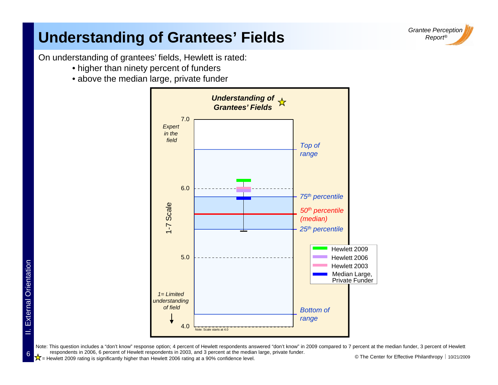

### **Understanding of Grantees' Fields**

On understanding of grantees' fields, Hewlett is rated:

- higher than ninety percent of funders
- above the median large, private funder



○  $\frac{1}{\sqrt{1}}$  Hewlett 2009 rating is significantly higher than Hewlett 2006 rating at a 90% confidence level. © The Center for Effective Philanthropy | 10/21/2009 Note: This question includes a "don't know" response option; 4 percent of Hewlett respondents answered "don't know" in 2009 compared to 7 percent at the median funder, 3 percent of Hewlett respondents in 2006, 6 percent of Hewlett respondents in 2003, and 3 percent at the median large, private funder.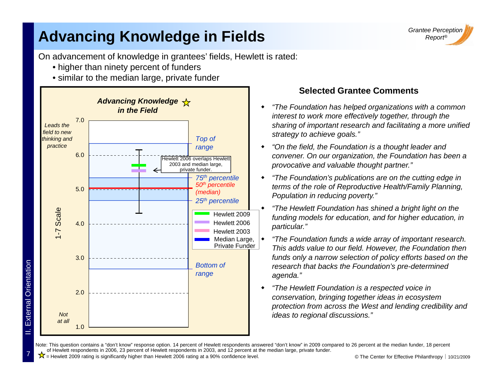# **Advancing Knowledge in Fields**



On advancement of knowledge in grantees' fields, Hewlett is rated:

- $\bullet$  higher than ninety percent of funders
- similar to the median large, private funder



ē

7

II. Exte

#### **Selected Grantee Comments**

- ٠ *"The Foundation has helped organizations with a common interest to work more effectively together, through the sharing of important research and facilitating a more unified strategy to achieve goals."*
- ٠ *"On the field, the Foundation is a thought leader and convener. On our organization, the Foundation has been a provocative and valuable thou ght partner." p gp*
- ٠ *"The Foundation's publications are on the cutting edge in terms of the role of Reproductive Health/Family Planning, Population in reducing poverty."*
- $\blacklozenge$  *"The Hewlett Foundation has shined a bright light on the*  funding models for education, and for higher education, in<br>particular."
- ٠ *"The Foundation funds a wide array of important research. This adds value to our field. However, the Foundation then funds only a narrow selection of policy efforts based on the*  h that backs the Foundation's pre-determined *agenda."*
- ٠ *"The Hewlett Foundation is a respected voice in conservation, bringing together ideas in ecosystem protection from across the West and lending credibility and id t i l di i " ideas to regional discussions."*

Note: This question contains a "don't know" response option. 14 percent of Hewlett respondents answered "don't know" in 2009 compared to 26 percent at the median funder, 18 percent of Hewlett respondents in 2006, 23 percent of Hewlett respondents in 2003, and 12 percent at the median large, private funder.

■ **区** Hewlett 2009 rating is significantly higher than Hewlett 2006 rating at a 90% confidence level. ● © The Center for Effective Philanthropy | 10/21/2009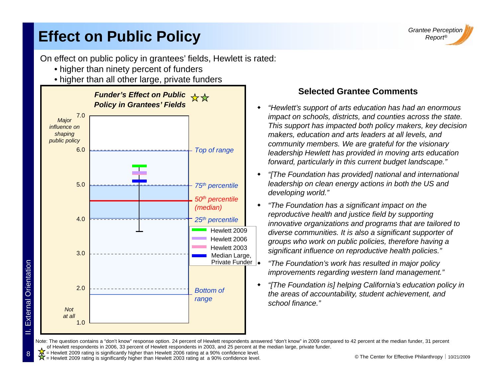### **Effect on Public Policy**

*Grantee Perception ®*

On effect on public policy in grantees' fields, Hewlett is rated:

- higher than ninety percent of funders
- higher than all other large, private funders



#### **Selected Grantee Comments**

- ٠ *"Hewlett's support of arts education has had an enormous impact on schools, districts, and counties across the state.*<br>influence on *Intervet on Intervet on a support has impacted both policy makers, key decision a This support has impacted both policy makers, key decis impact on schools, districts, and counties across the state. makers, education and arts leaders at all levels, and community members. We are grateful for the visionary leadership Hewlett has provided in moving arts education forward, particularly in this current budget landscape."*
	- ٠ *"[The Foundation has provided] national and international leadership on clean energy actions in both the US and developing world."*
	- ٠ *"The Foundation has a significant impact on the reproductive health and justice field by supporting innovative organizations and programs that are tailored to diverse communities. It is also a significant supporter of groups who work on public policies, therefore having a significant influence on reproductive health policies."*
	- *"The Foundation's work has resulted in major policy*
	- ٠ *"[The Foundation is] helping California's education policy in the areas of accountability, student achievement, and school finance."*

Note: The question contains a "don't know" response option. 24 percent of Hewlett respondents answered "don't know" in 2009 compared to 42 percent at the median funder, 31 percent of Hewlett respondents in 2006, 33 percent of Hewlett respondents in 2003, and 25 percent at the median large, private funder.

= Hewlett 2009 rating is significantly higher than Hewlett 2006 rating at a 90% confidence level.

 $\hat{X}$  Hewlett 2009 rating is significantly higher than Hewlett 2003 rating at a 90% confidence level.  $\bullet$  The Center for Effective Philanthropy | 10/21/2009 = Hewlett 2009 rating is significantly higher than Hewlett 2003 rating at a 90% confidence level.

 $\overline{\varepsilon}$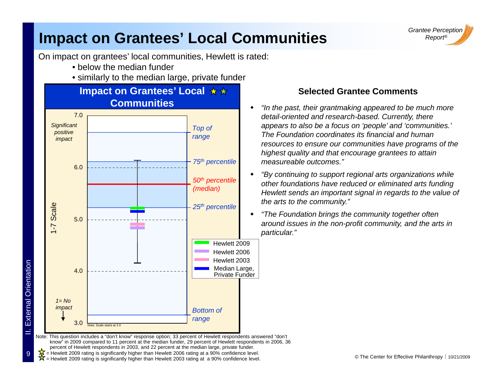#### **Impact on Grantees' Local Communities**



On impact on grantees' local communities, Hewlett is rated:

- below the median funder
- similarly to the median large, private funder



 $\overline{\varepsilon}$ 

9

II. Exte

 $\frac{Q}{Q}$   $\frac{X}{M}$  = Hewlett 2009 rating is significantly higher than Hewlett 2006 rating at a 90% confidence level.<br> $\frac{X}{M}$  = Hewlett 2009 rating is significantly higher than Hewlett 2003 rating at a 90% confidence le

= Hewlett 2009 rating is significantly higher than Hewlett 2003 rating at a 90% confidence level.

#### **Selected Grantee Comments**

- *"In the past, their grantmaking appeared to be much more*  **detail-oriented and research-based. Currently, there** *detail-oriented and research-based. Currently, there appears to also be a focus on 'people' and 'communities.' The Foundation coordinates its financial and human resources to ensure our communities have programs of the highest quality and that encourage grantees to attain measureable outcomes."*
	- *"By continuing to support regional arts organizations while other foundations have reduced or eliminated arts funding Hewlett sends an important signal in regards to the value of the arts to the community."*
	- *"The Foundation brings the community together often The brings around issues in the non-profit community, and the arts in*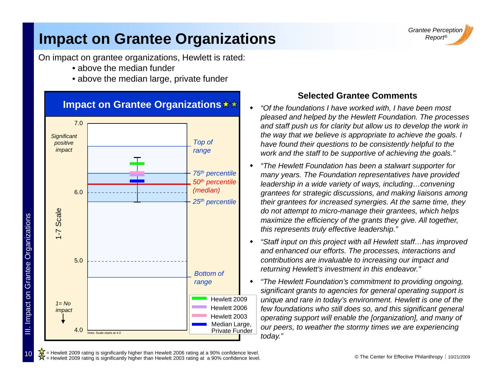#### **Impact on Grantee Organizations**

On impact on grantee organizations, Hewlett is rated:

- above the median funder
- above the median large, private funder



#### **Selected Grantee Comments**

- ٠ *"Of the foundations I have worked with, I have been most pleased and helped by the Hewlett Foundation. The processes and staff push us for clarity but allow us to develop the work in the way that we believe is appropriate to achieve the goals. I have found their questions to be consistently helpful to the work and the staff to be supportive of achieving the goals."*
- ٠ *"The Hewlett Foundation has been <sup>a</sup> stalwart supporter for The has many years. The Foundation representatives have provided leadership in a wide variety of ways, including…convening grantees for strategic discussions, and making liaisons among their grantees for increased synergies. At the same time, they do not attempt to micro-manage their grantees, which helps maximize the efficiency of the grants they give. All together, this represents truly effective leadership."*
- ٠ *"Staff input on this project with all Hewlett staff…has improved and enhanced our efforts. The processes, interactions and contributions are invaluable to increasing our impact and returning Hewlett's investment in this endeavor."*
- ٠ *"The Hewlett Foundation's commitment to providing ongoing, significant grants to agencies for general operating support is unique and rare in today's environment. Hewlett is one of the few foundations who still does so, and this significant general operating support will enable the [organization], and many of our peers, to weather the stormy times we are experiencing today."*

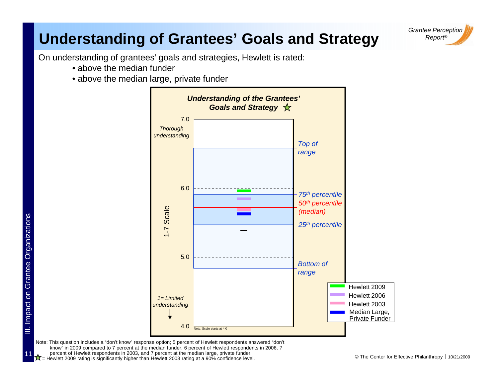### **Understanding of Grantees' Goals and Strategy** Report®

*Grantee Perception*

On understanding of grantees' goals and strategies, Hewlett is rated:

- above the median funder
- above the median large, private funder



Example the Center for Effective Philanthropy | 10/21/2009<br>Example 10/21/2009 rating is significantly higher than Hewlett 2003 rating at a 90% confidence level. Note: This question includes a "don't know" response option; 5 percent of Hewlett respondents answered "don't know" in 2009 compared to 7 percent at the median funder, 6 percent of Hewlett respondents in 2006, 7 percent of Hewlett respondents in 2003, and 7 percent at the median large, private funder.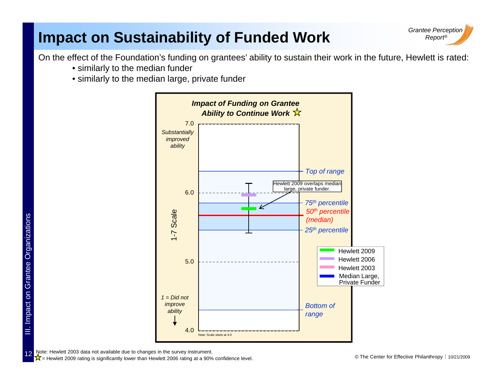### **Impact on Sustainability of Funded Work**



On the effect of the Foundation's funding on grantees' ability to sustain their work in the future, Hewlett is rated:

- similarly to the median funder
- similarly to the median large, private funder



12

ഗു

Note: Hewlett 2003 data not available due to changes in the survey instrument.

E <del>X</del> = Hewlett 2009 rating is significantly lower than Hewlett 2006 rating at a 90% confidence level. © The Center for Effective Philanthropy | 10/21/2009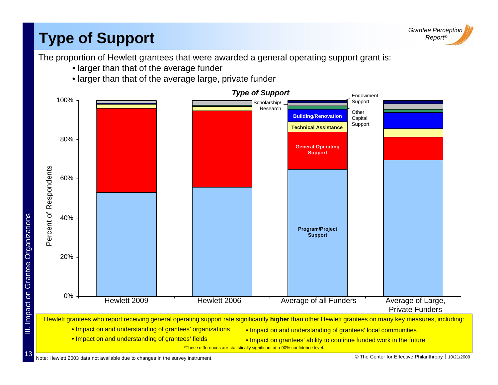# **Type of Support**



The proportion of Hewlett grantees that were awarded a general operating support grant is:

- larger than that of the average funder
- larger than that of the average large, private funder

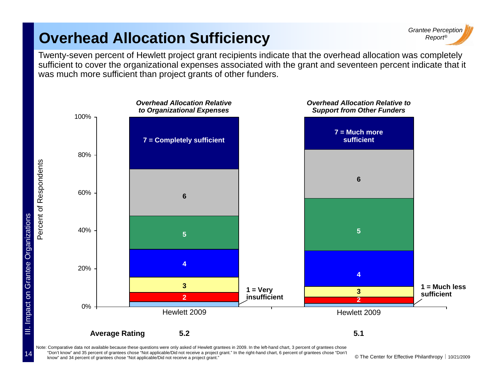### **Overhead Allocation Sufficiency**



Twenty-seven percent of Hewlett project grant recipients indicate that the overhead allocation was completely sufficient to cover the organizational expenses associated with the grant and seventeen percent indicate that it was much more sufficient than project grants of other funders.



know" and 34 percent of grantees chose "Not applicable/Did not receive a project grant." 
Cho Center for Effective Philanthropy | 10/21/2009 Note: Comparative data not available because these questions were only asked of Hewlett grantees in 2009. In the left-hand chart, 3 percent of grantees chose "Don't know" and 35 percent of grantees chose "Not applicable/Did not receive a project grant." In the right-hand chart, 6 percent of grantees chose "Don't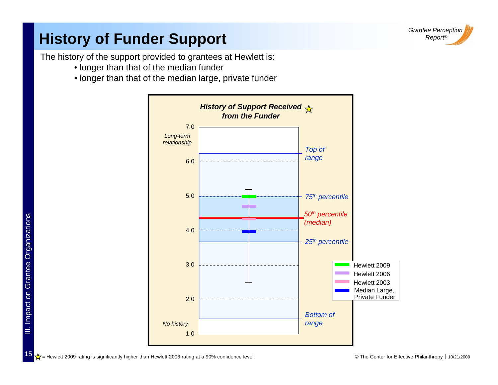

### **History of Funder Support**

The history of the support provided to grantees at Hewlett is:

- lon ger than that of the median funder
- longer than that of the median large, private funder



© The Center for Effective Philanthropy ⏐ 10/21/2009 = Hewlett 2009 rating is significantly higher than Hewlett 2006 rating at a 90% confidence level.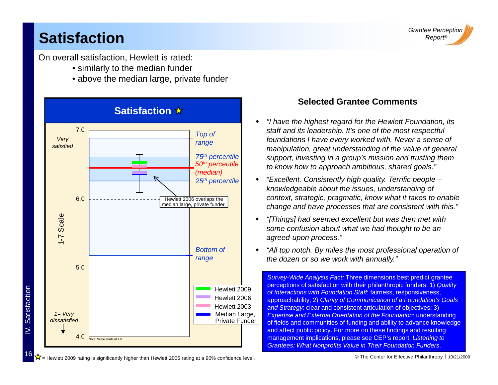### *Report®* **Satisfaction**

tisfaction

**V.** Satisfaction

16

On overall satisfaction, Hewlett is rated:

- similarly to the median funder
- above the median large, private funder



#### **Selected Grantee Comments**

- "I have the highest regard for the Hewlett Foundation, its ٠ *staff and its leadership. It's one of the most respectful foundations I have every worked with. Never a sense of manipulation, great understanding of the value of general support, investing in a group's mission and trusting them to know how to approach ambitious shared goals " ambitious, goals.*
- $\blacklozenge$  *"Excellent. Consistently high quality. Terrific people – knowledgeable about the issues, understanding of context, strategic, pragmatic, know what it takes to enable change and have processes that are consistent with this."*
- $\blacklozenge$  *"[Things] had seemed excellent but was then met with some confusion about what we had thought to be an agreed-upon process."*
- ٠ *"All top notch. By miles the most professional operation of the dozen or so we work with annually."*

*Survey-Wide Analysis Fact:* Three dimensions best predict grantee perceptions of satisfaction with their philanthropic funders: 1) *Quality of Interactions with Foundation Staff*: fairness, responsiveness, approachability; 2) *Clarity of Communication of a Foundation's Goals and Strategy*: clear and consistent articulation of objectives; 3) Expertise and External Orientation of the Foundation: understanding of fields and communities of funding and ability to advance knowledge and affect public policy. For more on these findings and resulting management implications, please see CEP's report, *Listening to Grantees: What Nonprofits Value in Their Foundation Funders*.

 $\sqrt{\frac{1}{N}}$  Hewlett 2009 rating is significantly higher than Hewlett 2006 rating at a 90% confidence level.

*Grantee Perception*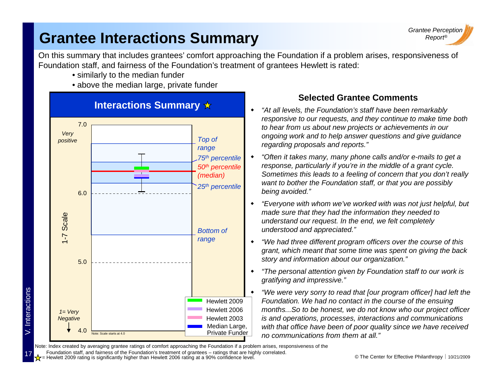#### **Grantee Interactions Summary**



On this summary that includes grantees' comfort approaching the Foundation if a problem arises, responsiveness of Foundation staff, and fairness of the Foundation's treatment of grantees Hewlett is rated:

- similarly to the median funder
- above the median large, private funder



#### **Selected Grantee Comments**

- ٠ *"At all levels, the Foundation's staff have been remarkably*  responsive to our requests, and they continue to make time both *to hear from us about new projects or achievements in our ongoing work and to help answer questions and give guidance regarding proposals and reports."*
- ٠ *"Often it takes many, many phone calls and/or e-mails to get a*  response, particularly if you're in the middle of a grant cycle. *Sometimes this leads to a feeling of concern that you don't really want to bother the Foundation staff, or that you are possibly being avoided."*
- ٠ *"Everyone with whom we've worked with was not just helpful, but made sure that they had the information they needed to y y understand our request. In the end, we felt completely understood and appreciated."*
- ٠ *"We had three different program officers over the course of this grant, which meant that some time was spent on giving the back*
- $\blacklozenge$  *"The personal attention given by Foundation staff to our work is gratifying and impressive."*
- ٠ *"We were very sorry to read that [our program officer] had left the Foundation. We had no contact in the course of the ensuing months...So to be honest, we do not know who our project officer p j is and operations, processes, interactions and communications with that office have been of poor quality since we have received no communications from them at all."*

Note: Index created by averaging grantee ratings of comfort approaching the Foundation if a problem arises, responsiveness of the

Foundation staff, and fairness of the Foundation's treatment of grantees – ratings that are highly correlated.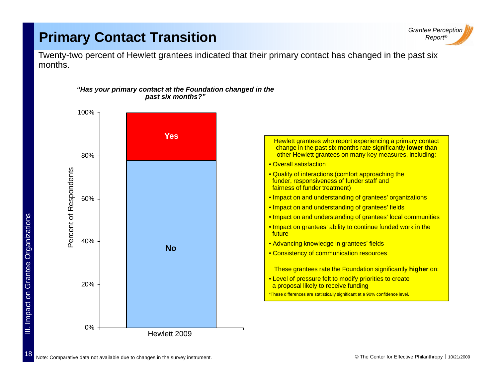#### **Primary Contact Transition** *Report**Report**Report* **<b>***Report**Report**Report* **<b>***Report*



Twenty-two percent of Hewlett grantees indicated that their primary contact has changed in the past six months.



#### *"Has your primary contact at the Foundation changed in the past six months?"*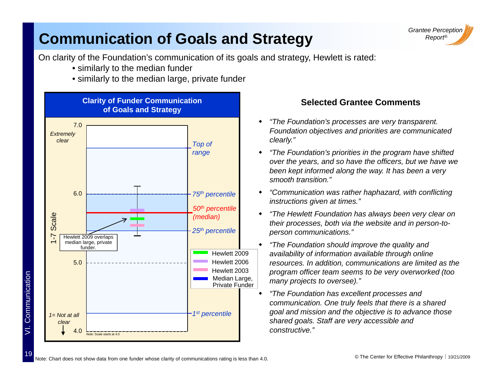### **Communication of Goals and Strategy Report®**



On clarity of the Foundation's communication of its goals and strategy, Hewlett is rated:

- similarly to the median funder
- similarly to the median large, private funder



mmunication

ξ

19

#### **Selected Grantee Comments**

- *"Th F d ti ' t t "The Foun dation's processes are very transparent.*  ٠ *Foundation objectives and priorities are communicated clearly."*
- ٠ *"The Foundation's priorities in the program have shifted over the years, and so have the officers, but we have we*  been kept informed along the way. It has been a very *smooth transition."*
- $\blacklozenge$  *"Communication was rather haphazard, with conflicting instructions given at times."*
- ٠ *"The Hewlett Foundation has always been very clear on* 1-<sup>7</sup> Arreadary<br>25<sup>th</sup> percentile *Their processes, both via the website and in person-to- person communications.*"
- ٠ *"The Foundation should improve the quality and availability of information available through online resources. In addition, communications are limited as the program officer team seems to be very overworked (too many projects to oversee)."*
	- ٠ *"The Foundation has excellent processes and communication. One truly feels that there is a shared shared goals. Staff are very accessible and constructive."*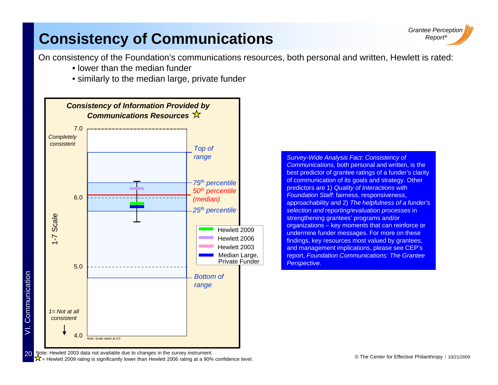### **Consistency of Communications**



On consistency of the Foundation's communications resources, both personal and written, Hewlett is rated:

- lower than the median funder . . . . . . . . . .
- similarly to the median large, private funder



*range Survey-Wide Analysis Fact: Consistency of*  Communications, both personal and written, is the best predictor of grantee ratings of a funder's clarity of communication of its goals and strategy. Other predictors are 1) *Quality of Interactions with Foundation Staff*: fairness, responsiveness, approachability and 2) *The helpfulness of a funder's selection and reporting/evaluation processes* in trengthening grantees' programs and/ organizations – key moments that can reinforce or undermine funder messages. For more on these findings, key resources most valued by grantees, and management implications, please see CEP's report, *Foundation Communications: The Grantee*  Perspective.

Note: Hewlett 2003 data not available due to changes in the survey instrument.

mmunication

 $\bigtimes$   $\bigtimes$  = Hewlett 2009 rating is significantly lower than Hewlett 2006 rating at a 90% confidence level.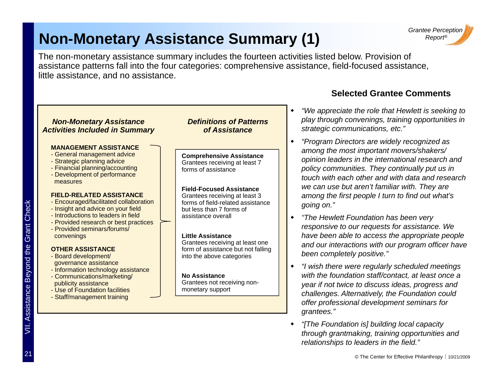## **Non-Monetary Assistance Summary (1)** Report®



The non-monetary assistance summary includes the fourteen activities listed below. Provision of assistance patterns fall into the four categories: comprehensive assistance, field-focused assistance, little assistance, and no assistance.

#### ٠ *NNon-Monetary Assistance*  Non-Monetary Assistance **Definitions of Patterns** Play through convenings, training opportunities in **MANAGEMENT ASSISTANCE**- General management advice - Strategic planning advice Financial planning/accounting - Financial **Comprehensive Assistance** Grantees receiving at least 7 forms of assistance  $\blacklozenge$ *Activities Included in Summary efinitions oPatterns of Assistance*- Development of performance measures**FIELD-RELATED ASSISTANCE**- Encouraged/facilitated collaboration - Insight and advice on your field - Introductions to leaders in field**Field-Focused Assistance**Grantees receiving at least 3 forms of field-related assistance but less than 7 forms of assistance overall $\blacklozenge$ **Readers in field assistance overall in the Hewlett Foundation has been very in the leaders in the leaders in the leaders in the leaders in the leaders in the leaders in the leaders in the leaders in the leaders in the** - Provided research or best practices - Provided seminars/forums/convenings **OTHER ASSISTANCE**- Board development/ example to the Manufacture of the Magnetic Conduction of the Magnetic Conduction of the Magnetic Communications/marked and the Staff/management train of the Magnetic Conduction of the Magnetic Conduction of the Magnetic Co d<br>
- Provided research or best practices<br>
- Provided seminars/forums/<br>
convenings<br> **OTHER ASSISTANCE**<br>
- Board development/<br>
- Board development/<br>
- Board development/ ٠  $\frac{1}{2}$  assistance  $\frac{1}{2}$   $\frac{1}{2}$   $\frac{1}{2}$   $\frac{1}{2}$   $\frac{1}{2}$   $\frac{1}{2}$   $\frac{1}{2}$   $\frac{1}{2}$   $\frac{1}{2}$   $\frac{1}{2}$   $\frac{1}{2}$   $\frac{1}{2}$   $\frac{1}{2}$   $\frac{1}{2}$   $\frac{1}{2}$   $\frac{1}{2}$   $\frac{1}{2}$   $\frac{1}{2}$   $\frac{1}{2}$   $\frac{1}{2}$  - Information technology assistance - Communications/marketing/ publicity assistance - Use of Foundation facilities - Staff/management training solation information technology assistance<br>
- Information technology assistance<br>
- Communications/marketing/<br>
publicity assistance<br>
- Use of Foundation facilities<br>
- Staff/management training<br>
was started and the Crantees VII. As*grantees.*

#### **Selected Grantee Comments**

- *"We appreciate the role that Hewlett is seeking to strategic communications, etc."*
- *"Program Directors are widely recognized as among the most important movers/shakers/ opinion leaders in the international research and policy communities They continually put us in communities. touch with each other and with data and research we can use but aren't familiar with. They are among the first people I turn to find out what's going on."*
- *responsive to our requests for assistance. We have been able to access the appropriate people and our interactions with our program officer have been completely positive."*
- *with the foundation staff/contact, at least once a year if not twice to discuss ideas, progress and challenges. Alternatively, the Foundation could offer professional development seminars for grantees "*
- ٠ *"[The Foundation is] building local capacity through grantmaking, training opportunities and relationships to leaders in the field."*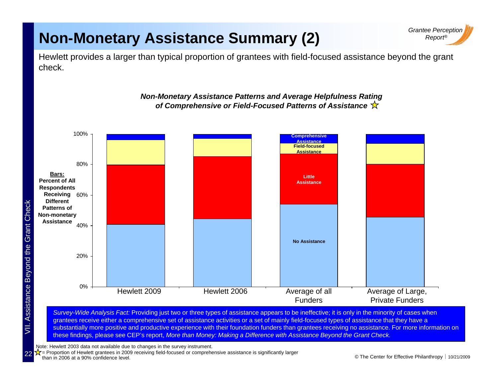### **Non-Monetary Assistance Summary (2)**



140%Hewlett provides a larger than typical proportion of grantees with field-focused assistance beyond the grant check.

*Non-Monetary Assistance Patterns and Average Helpfulness Rating* 

#### *of Comprehensive or Field-Focused Patterns of Assistance* 80%100%**Field-focused Assistance Comprehensive Assistance**60%**Receiving Bars:Percent of All Respondents Different Patterns of Non-monetary NonLittle Assistance**20%40%on-monetary<br>Assistance **No Assistance**0%Average of all FundersHewlett 2009 Hewlett 2006 Average of all Average of Large, Private FundersHewlett 2006

 $S$  *Survey-Wide Analysis Fact:* Providing just two or three types of assistance appears to be ineffective; it is only in the minority of cases when grantees receive either a comprehensive set of assistance activities or a set of mainly field-focused types of assistance that they have a substantially more positive and productive experience with their foundation funders than grantees receiving no assistance. For more information on these findings, please see CEP's report, *More than Money: Making a Difference with Assistance Beyond the Grant Check.*

Note: Hewlett 2003 data not available due to changes in the survey instrument.

 $\chi$  = Proportion of Hewlett grantees in 2009 receiving field-focused or comprehensive assistance is significantly larger than in 2006 at a 90% confidence level.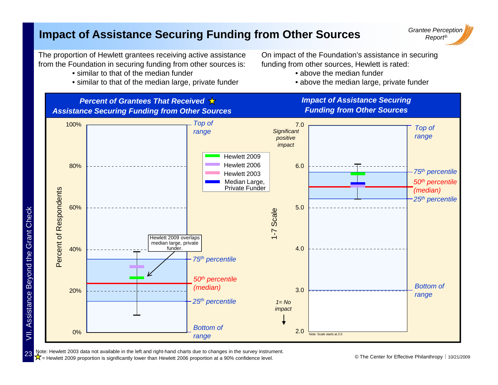#### **Impact of Assistance Securing Funding from Other Sources**

The proportion of Hewlett grantees receiving active assistance from the Foundation in securing funding from other sources is:

- $\bullet$  similar to that of the median funder
- similar to that of the median large, private funder

On impact of the Foundation's assistance in securing funding from other sources, Hewlett is rated:

- $\bullet$  above the median funder
	- above the median large, private funder



 $\sqrt{\frac{1}{2}}$  Hewlett 2009 proportion is significantly lower than Hewlett 2006 proportion at a 90% confidence level. Note: Hewlett 2003 data not available in the left and right-hand charts due to changes in the survey instrument.

VII. Assistance Beyond the Grant Check

23

*Grantee Perception ®*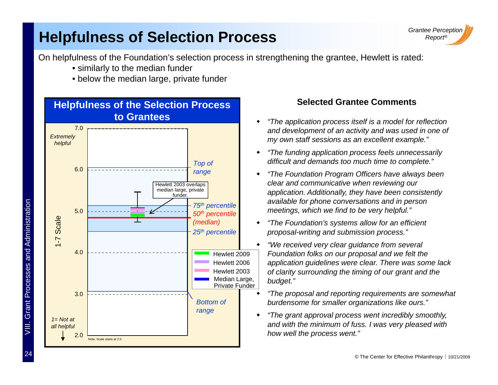#### **Helpfulness of Selection Process**



On helpfulness of the Foundation's selection process in strengthening the grantee, Hewlett is rated:

- similarly to the median funder
- below the median large, private funder



- "The application process itself is a model for reflection ٠ *and development of an activity and was used in one of my own staff sessions as an excellent example."*
- ٠ *"The funding application process feels unnecessarily difficult and demands too much time to complete."*
- ٠ *"The Foundation Program Officers have always been clear and communicative when reviewing our application. Additionally, they have been consistently available for phone conversations and in person meetings, which we find to be very helpful."*
- ٠ *"The Foundation's systems allow for an efficient proposal-writing and submission process."*
- ٠ *"We received very clear guidance from several Foundation folks on our proposal and we felt the application guidelines were clear. There was some lack of clarity surrounding the timing of our grant and the budget."*
	- ٠ *"The proposal and reporting requirements are somewhat burdensome for smaller organizations like ours."*
	- *"Th t l t i dibl thl "The grant approval process went incredibly smoothly,*  ٠ *and with the minimum of fuss. I was very pleased with how well the process went."*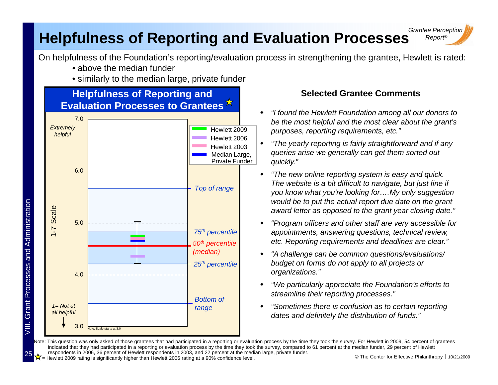#### *Grantee Perception* **Helpfulness of Reporting and Evaluation Processes** Report®

On helpfulness of the Foundation's reporting/evaluation process in strengthening the grantee, Hewlett is rated:

- above the median funder
- similarly to the median large, private funder



#### **Selected Grantee Comments**

- ٠ *"I found the Hewlett Foundation among all our donors to*  be the most helpful and the most clear about the grant's *purposes, reporting requirements, etc."*
- ٠ *"The yearly reporting is fairly straightforward and if any queries arise we generally can get them sorted out quickly."*
- ٠ *"The new online reporting system is easy and quick. The website is a bit difficult to navigate, but just fine if you know what you're looking for….My only suggestion would be to put the actual report due date on the grant award letter as opposed to the grant year closing date."*
- ٠ *"Program officers and other staff are very accessible for appointments, answering questions, technical review, etc. Reporting requirements and deadlines are clear."*
- ٠ *"A challenge can be common questions/evaluations/ organizations."*
- ٠ *"We particularly appreciate the Foundation's efforts to streamline their reporting processes."*
- ٠ *"Sometimes there is confusion as to certain reporting*  dates and definitely the distribution of funds."

 $\frac{1}{2}$  Hewlett 2009 rating is significantly higher than Hewlett 2006 rating at a 90% confidence level. Note: This question was only asked of those grantees that had participated in a reporting or evaluation process by the time they took the survey. For Hewlett in 2009, 54 percent of grantees indicated that they had participated in a reporting or evaluation process by the time they took the survey, compared to 61 percent at the median funder, 29 percent of Hewlett respondents in 2006, 36 percent of Hewlett respondents in 2003, and 22 percent at the median large, private funder.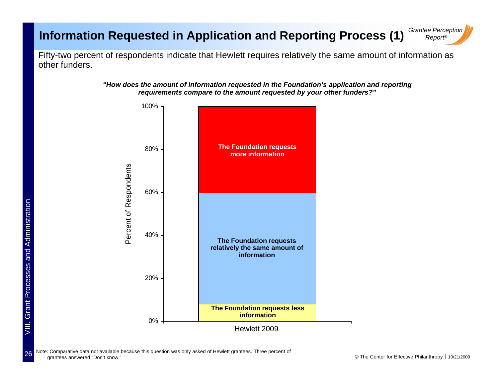#### *Grantee Perception* **Information Requested in Application and Reporting Process (1)** *Grantee Perce*

Fifty-two percent of respondents indicate that Hewlett requires relatively the same amount of information as other funders.





Note: Comparative data not available because this question was only asked of Hewlett grantees. Three percent of grantees answered "Don't know."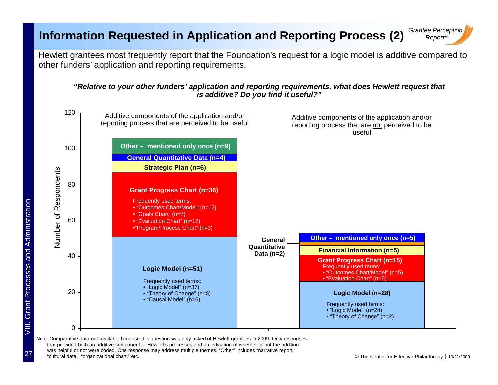#### **Information Requested in Application and Reporting Process (2)**

*Grantee Perception Report®*

Hewlett grantees most frequently report that the Foundation's request for a logic model is additive compared to other funders' application and reporting requirements.

#### *"Relative to your other funders' application and reporting requirements, what does Hewlett request that is additive? Do you find it useful?"*



Note: Comparative data not available because this question was only asked of Hewlett grantees in 2009. Only responses that provided both an additive component of Hewlett's processes and an indication of whether or not the addition was helpful or not were coded. One response may address multiple themes. "Other" includes "narrative report," "cultural data," "organizational chart," etc.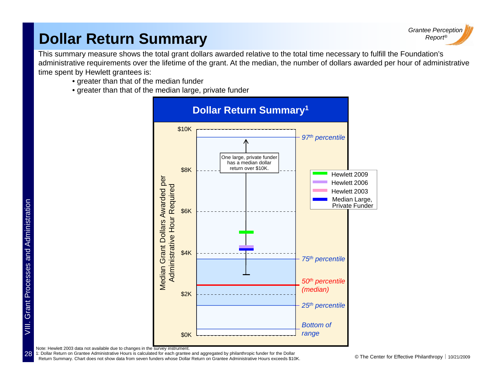### *Report®* **Dollar Return Summary**



This summary measure shows the total grant dollars awarded relative to the total time necessary to fulfill the Foundation's administrative requirements over the lifetime of the grant. At the median, the number of dollars awarded per hour of administrative time spent by Hewlett grantees is:

- greater than that of the median funder
- greater than that of the median large, private funder

![](_page_28_Figure_5.jpeg)

Note: Hewlett 2003 data not available due to changes in the survey instrument.

Return Summary. Chart does not show data from seven funders whose Dollar Return on Grantee Administrative Hours exceeds \$10K. **Commary.** Chart does not show data from seven funders whose Dollar Return on Grantee Administr 1: Dollar Return on Grantee Administrative Hours is calculated for each grantee and aggregated by philanthropic funder for the Dollar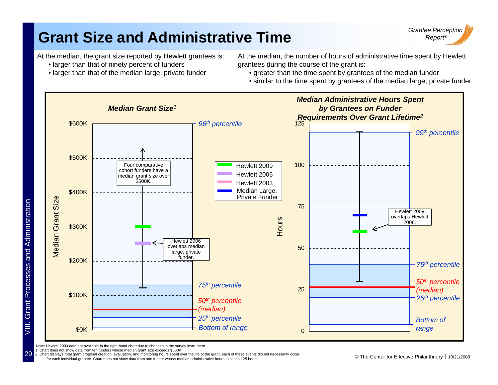## **Grant Size and Administrative Time**

![](_page_29_Picture_1.jpeg)

At the median, the grant size reported by Hewlett grantees is:

- larger than that of ninety percent of funders
- $\bullet$  larger than that of the median large, private fund

At the median, the number of hours of administrative time spent by Hewlett grantees during the course of the grant is:

der state of the median funder of the spent by grantees of the median funder

• similar to the time spent by grantees of the median large, private funder

![](_page_29_Figure_8.jpeg)

Note: Hewlett 2003 data not available in the right-hand chart due to changes in the survey instrument.

1: Chart does not show data from ten funders whose median grant size exceeds \$500K.

2: Chart displays total grant proposal creation, evaluation, and monitoring hours spent over the life of the grant; each of these events did not necessarily occur<br>for each individual grantee. Chart does not show data from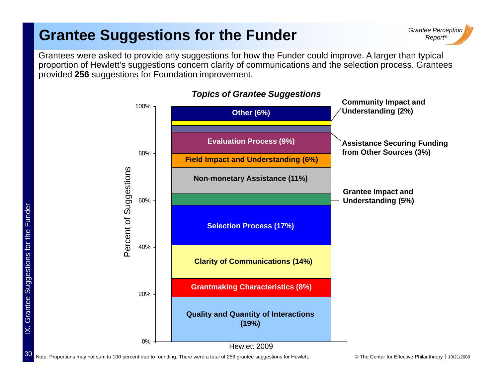### **Grantee Suggestions for the Funder**

![](_page_30_Picture_1.jpeg)

Grantees were asked to provide any suggestions for how the Funder could improve. A larger than typical proportion of Hewlett's suggestions concern clarity of communications and the selection process. Grantees provided **256** suggestions for Foundation improvement.

![](_page_30_Figure_3.jpeg)

#### *Topics of Grantee Suggestions*

Note: Proportions may not sum to 100 percent due to rounding. There were a total of 256 grantee suggestions for Hewlett. © The Center for Effective Philanthropy | 10/21/2009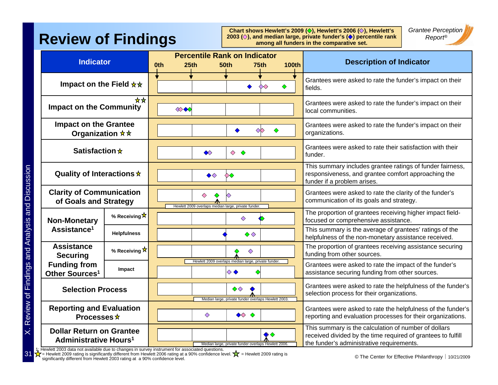### **Review of Findings**

Chart shows Hewlett's 2009 ( $\diamondsuit$ ), Hewlett's 2006 ( $\diamondsuit$ ), Hewlett's **2003 (** $\Diamond$ **), and median large, private funder's (** $\Diamond$ **) percentile rank among all funders in the comparative set.**

*Grantee Perception*

| <b>Indicator</b>                                                                          |                                | 25 <sub>th</sub><br>0th | <b>Percentile Rank on Indicator</b><br><b>50th</b>                        | 75th<br><b>100th</b> |  | <b>Description of Indicator</b>                                                                                                                                   |
|-------------------------------------------------------------------------------------------|--------------------------------|-------------------------|---------------------------------------------------------------------------|----------------------|--|-------------------------------------------------------------------------------------------------------------------------------------------------------------------|
| Impact on the Field $\star \star$                                                         |                                |                         |                                                                           | $\infty$             |  | Grantees were asked to rate the funder's impact on their<br>fields.                                                                                               |
| **<br><b>Impact on the Community</b>                                                      |                                | $\otimes \otimes$       |                                                                           |                      |  | Grantees were asked to rate the funder's impact on their<br>local communities.                                                                                    |
| <b>Impact on the Grantee</b><br>Organization $\star \star$                                |                                |                         |                                                                           | $\infty$             |  | Grantees were asked to rate the funder's impact on their<br>organizations.                                                                                        |
| Satisfaction $\star$                                                                      |                                |                         | $\Diamond$<br>$\Diamond$<br>$\Diamond$                                    |                      |  | Grantees were asked to rate their satisfaction with their<br>funder.                                                                                              |
| Quality of Interactions $\star$                                                           |                                |                         | $\blacklozenge \diamondsuit$<br>◇◇                                        |                      |  | This summary includes grantee ratings of funder fairness,<br>responsiveness, and grantee comfort approaching the<br>funder if a problem arises.                   |
| <b>Clarity of Communication</b><br>of Goals and Strategy                                  |                                |                         | $\Diamond$<br>♦<br>Hewlett 2009 overlaps median large, private funder.    |                      |  | Grantees were asked to rate the clarity of the funder's<br>communication of its goals and strategy.                                                               |
| <b>Non-Monetary</b><br>Assistance <sup>1</sup>                                            | % Receiving $\mathbf{\hat{x}}$ |                         | ♦                                                                         |                      |  | The proportion of grantees receiving higher impact field-<br>focused or comprehensive assistance.                                                                 |
|                                                                                           | <b>Helpfulness</b>             |                         |                                                                           | $\Diamond \Diamond$  |  | This summary is the average of grantees' ratings of the<br>helpfulness of the non-monetary assistance received.                                                   |
| <b>Assistance</b><br><b>Securing</b><br><b>Funding from</b><br>Other Sources <sup>1</sup> | % Receiving $\mathbf{\hat{x}}$ |                         |                                                                           | ♦                    |  | The proportion of grantees receiving assistance securing<br>funding from other sources.                                                                           |
|                                                                                           | Impact                         |                         | Hewlett 2009 overlaps median large, private funder.<br>◇◆                 |                      |  | Grantees were asked to rate the impact of the funder's<br>assistance securing funding from other sources.                                                         |
| <b>Selection Process</b>                                                                  |                                |                         | $\Diamond \Diamond$<br>Median large, private funder overlaps Hewlett 2003 |                      |  | Grantees were asked to rate the helpfulness of the funder's<br>selection process for their organizations.                                                         |
| <b>Reporting and Evaluation</b><br>Processes $\star$                                      |                                |                         | $\diamondsuit$<br>♦                                                       |                      |  | Grantees were asked to rate the helpfulness of the funder's<br>reporting and evaluation processes for their organizations.                                        |
| <b>Dollar Return on Grantee</b><br><b>Administrative Hours<sup>1</sup></b>                |                                |                         | Median large, private funder overlaps Hewlett 2006                        |                      |  | This summary is the calculation of number of dollars<br>received divided by the time required of grantees to fulfill<br>the funder's administrative requirements. |

 $1_{\!\star}$  Hewlett 2003 data not available due to changes in survey instrument for associated questions.

■  $\alpha$  = newlet zood rating sumbatility unletted in the with the other and the state of the Center for Effective Philanthropy | 10/21/2009 = Hewlett 2009 rating is significantly different from Hewlett 2006 rating at a 90% confidence level. ∑て = Hewlett 2009 rating is<br>significantly different from Hewlett 2003 rating at a 90% confidence level.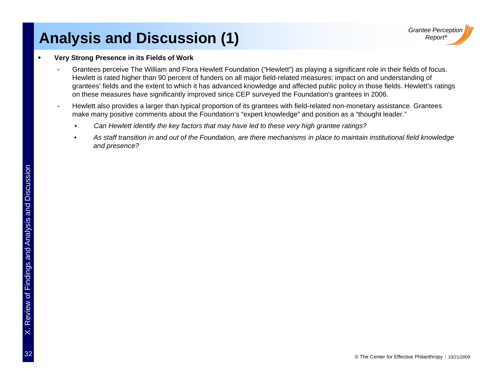### **Analysis and Discussion (1)**

#### ٠ **Very Strong Presence in its Fields of Work**

- -- Grantees perceive The William and Flora Hewlett Foundation ("Hewlett") as playing a significant role in their fields of focus. Hewlett is rated higher than 90 percent of funders on all major field-related measures: impact on and understanding of grantees' fields and the extent to which it has advanced knowledge and affected public policy in those fields. Hewlett's rating s on these measures have significantly improved since CEP surveyed the Foundation's grantees in 2006.
- - Hewlett also provides a larger than typical proportion of its grantees with field-related non-monetary assistance. Grantees make many positive comments about the Foundation's "expert knowledge" and position as a "thought leader."
	- *Can Hewlett identify the key factors that may have led to these very high grantee ratings?*
	- *As staff transition in and out of the Foundation, are there mechanisms in place to maintain institutional field knowledge and presence?*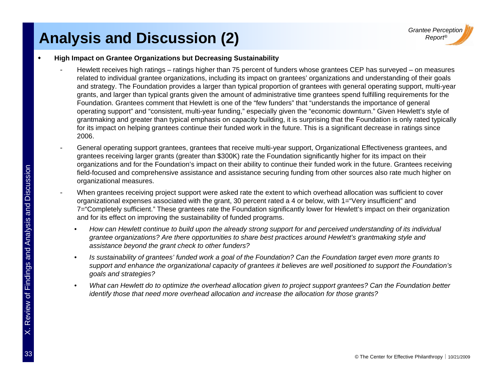### **Analysis and Discussion (2) Call 2 Report®**

#### ٠ **High Impact on Grantee Organizations but Decreasing Sustainability**

- -- Hewlett receives high ratings – ratings higher than 75 percent of funders whose grantees CEP has surveyed – on measures related to individual grantee organizations, including its impact on grantees' organizations and understanding of their goals and strategy. The Foundation provides a larger than typical proportion of grantees with general operating support, multi-year grants, and larger than typical grants given the amount of administrative time grantees spend fulfilling requirements for the Foundation. Grantees comment that Hewlett is one of the "few funders" that "understands the importance of general operating support" and "consistent, multi-year funding," especially given the "economic downturn." Given Hewlett's style of grantmaking and greater than typical emphasis on capacity building, it is surprising that the Foundation is only rated typically for its impact on helping grantees continue their funded work in the future. This is a significant decrease in ratings since 2006.
- - General operating support grantees, grantees that receive multi-year support, Organizational Effectiveness grantees, and grantees receiving larger grants (greater than \$300K) rate the Foundation significantly higher for its impact on their organizations and for the Foundation's impact on their ability to continue their funded work in the future. Grantees receiving
- organizations and for the Foundation's impact on their ability to continue their runded work in the future. Grantees receiving<br>field-focused and comprehensive assistance and assistance securing funding from other sources a When grantees receiving project support were asked rate the extent to which overhead allocation was sufficient to cover organizational expenses associated with the grant, 30 percent rated a 4 or below, with 1="Very insufficient" and and for its effect on improving the sustainability of funded programs
- and for its effect on improving the sustainability of funded programs.<br>
 How can Hewlett continue to build upon the already strong supper-<br>
grantee organizations? Are there opportunities to share best pracessistance beyon • *How can Hewlett continue to build upon the already strong support for and perceived understanding of its individual grantee organizations? Are there opportunities to share best practices around Hewlett's grantmaking style and assistance beyond the grant check to other funders?*
	- • *Is sustainability of grantees' funded work a goal of the Foundation? Can the Foundation target even more grants to*  support and enhance the organizational capacity of grantees it believes are well positioned to support the Foundation's
- support and enhance the organizational capacity of grantees it believes are well positioned to support the Foundation's<br>goals and strategies?<br>What can Hewlett do to optimize the overhead allocation given to project support • *What can Hewlett do to optimize the overhead allocation given to project support grantees? Can the Foundation better identify those that need more overhead allocation and increase the allocation for those grants?*

-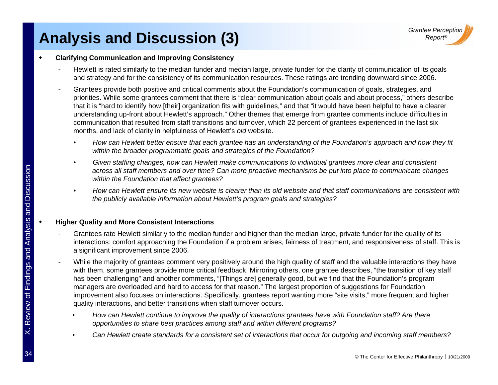### **Analysis and Discussion (3) Analysis and Discussion (3)**

#### ٠ **Clarifying Communication and Improving Consistency**

- -- Hewlett is rated similarly to the median funder and median large, private funder for the clarity of communication of its goals and strategy and for the consistency of its communication resources. These ratings are trending downward since 2006.
- Grantees provide both positive and critical comments about the Foundation's communication of goals, strategies, and priorities. While some grantees comment that there is "clear communication about goals and about process," others describe that it is "hard to identify how [their] organization fits with guidelines," and that "it would have been helpful to have a clearer understanding up-front about Hewlett's approach." Other themes that emerge from grantee comments include difficulties in communication that resulted from staff transitions and turnover, which 22 percent of grantees experienced in the last six months, and lack of clarity in helpfulness of Hewlett's *old* website.
	- *How can Hewlett better ensure that each grantee has an understanding of the Foundation's approach and how they fit within the broader programmatic goals and strategies of the Foundation?*
- *Given staffing changes, how can Hewlett make communications to individual grantees more clear and consistent ff ? C Can more proactive mechanisms be put into place to communicate changes*  across all staff members and over time<br>within the Foundation that affect grante<br>and the publicly available information about<br>the publicly available information about *within the Foundation that affect grantees?* 
	- *How can Hewlett ensure its new website is clearer than its old website and that staff communications are consistent with the publicly available information about Hewlett's program goals and strategies?*

#### **Higher Quality and More Consistent Interactions**

- - Grantees rate Hewlett similarly to the median funder and higher than the median large, private funder for the quality of its interactions: comfort approaching the Foundation if a problem arises, fairness of treatment, and responsiveness of staff. This is a significant improvement since 2006.
- While the majority of grantees comment very positively around the high quality of staff and the valuable interactions they have with them, some grantees provide more critical feedback. Mirroring others, one grantee describes, "the transition of key staff<br>has been challenging" and another comments, "[Things are] generally good, but we find that the
	- *How can Hewlett continue to improve the quality of interactions grantees have with Foun dation staff? Are there*  •*opportunities to share best practices among staff and within different programs?*
	- •*Can Hewlett create standards for a consistent set of interactions that occur for outgoing and incoming staff members?*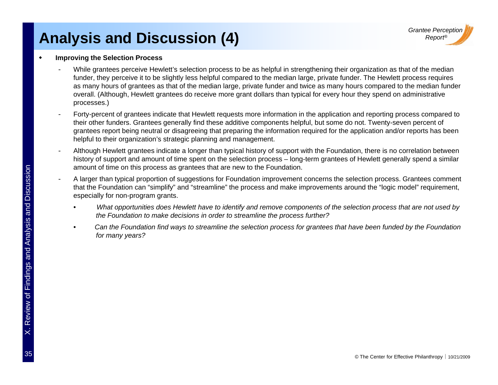### **Analysis and Discussion (4) Analysis and Discussion (4)**

#### ٠ **Improving the Selection Process**

- -- While grantees perceive Hewlett's selection process to be as helpful in strengthening their organization as that of the median funder, they perceive it to be slightly less helpful compared to the median large, private funder. The Hewlett process requires as many hours of grantees as that of the median large, private funder and twice as many hours compared to the median funder overall. (Although, Hewlett grantees do receive more grant dollars than typical for every hour they spend on administrative processes.)
- - Forty-percent of grantees indicate that Hewlett requests more information in the application and reporting process compared to their other funders. Grantees generally find these additive components helpful, but some do not. Twenty-seven percent of grantees report being neutral or disagreeing that preparing the information required for the application and/or reports has bee nhelpful to their organization's strategic planning and management.
- - Although Hewlett grantees indicate a longer than typical history of support with the Foundation, there is no correlation betwee n history of support and amount of time spent on the selection process – long-term grantees of Hewlett generally spend a similar amount of time on this process as grantees that are new to the Foundation
- amount of time on this process as grantees that are new to the Foundation.<br>
4 larger than typical proportion of suggestions for Foundation improvement<br>
that the Foundation can "simplify" and "streamline" the process and ma A larger than typical proportion of suggestions for Foundation improvement concerns the selection process. Grantees comment that the Foundation can "simplify" and "streamline" the process and make improvements around the "logic model" requirement, especially for non-program grants.
	- *What opportunities does Hewlett have to identify and remove components of the selection process that are not used by* the Foundation to make decisions in order to streamline the process further?
	- Can the Foundation find ways to streamline the selection process for grantees that have been funded by the Foundation<br>for many years?